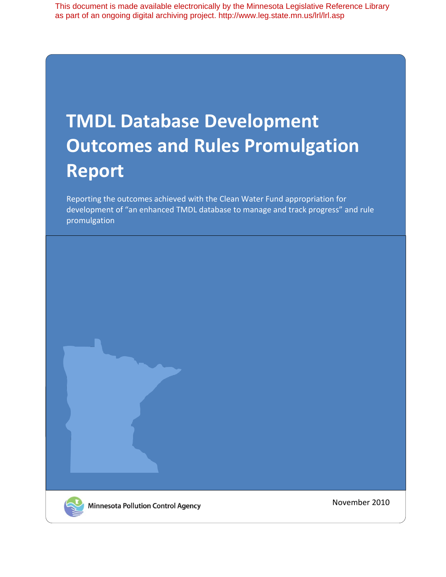This document is made available electronically by the Minnesota Legislative Reference Library as part of an ongoing digital archiving project. http://www.leg.state.mn.us/lrl/lrl.asp

# **TMDL Database Development Outcomes and Rules Promulgation Report**

Reporting the outcomes achieved with the Clean Water Fund appropriation for development of "an enhanced TMDL database to manage and track progress" and rule promulgation



November 2010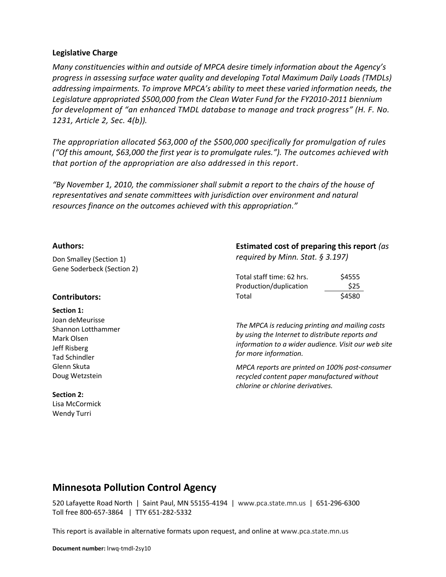#### **Legislative Charge**

*Many constituencies within and outside of MPCA desire timely information about the Agency's progress in assessing surface water quality and developing Total Maximum Daily Loads (TMDLs) addressing impairments. To improve MPCA's ability to meet these varied information needs, the Legislature appropriated \$500,000 from the Clean Water Fund for the FY2010-2011 biennium for development of "an enhanced TMDL database to manage and track progress" (H. F. No. 1231, Article 2, Sec. 4(b)).* 

*The appropriation allocated \$63,000 of the \$500,000 specifically for promulgation of rules ("Of this amount, \$63,000 the first year is to promulgate rules."). The outcomes achieved with that portion of the appropriation are also addressed in this report.*

*"By November 1, 2010, the commissioner shall submit a report to the chairs of the house of representatives and senate committees with jurisdiction over environment and natural resources finance on the outcomes achieved with this appropriation."*

#### **Authors:**

Don Smalley (Section 1) Gene Soderbeck (Section 2)

#### **Contributors:**

#### **Section 1:**

Joan deMeurisse Shannon Lotthammer Mark Olsen Jeff Risberg Tad Schindler Glenn Skuta Doug Wetzstein

#### **Section 2:**

Lisa McCormick Wendy Turri

## **Estimated cost of preparing this report** *(as required by Minn. Stat. § 3.197)*

| Total staff time: 62 hrs. | \$4555 |
|---------------------------|--------|
| Production/duplication    | \$25   |
| Total                     | \$4580 |

*The MPCA is reducing printing and mailing costs by using the Internet to distribute reports and information to a wider audience. Visit our web site for more information.*

*MPCA reports are printed on 100% post-consumer recycled content paper manufactured without chlorine or chlorine derivatives.*

# **Minnesota Pollution Control Agency**

520 Lafayette Road North | Saint Paul, MN 55155-4194 | www.pca.state.mn.us | 651-296-6300 Toll free 800-657-3864 | TTY 651-282-5332

This report is available in alternative formats upon request, and online at www.pca.state.mn.us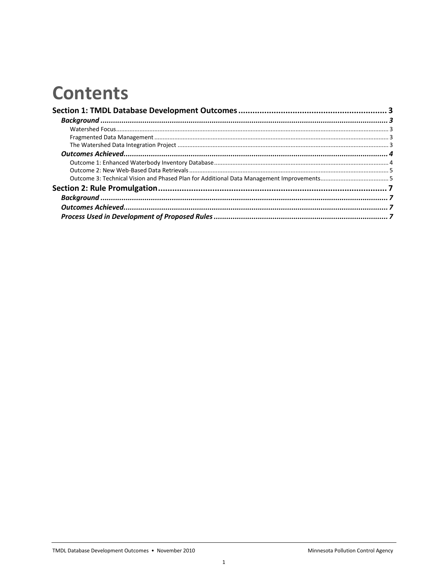# **Contents**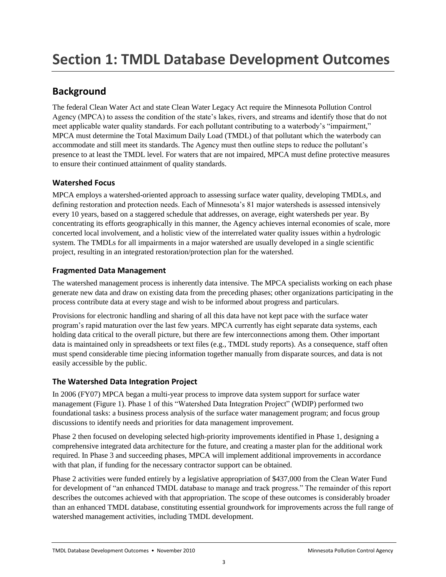# **Background**

The federal Clean Water Act and state Clean Water Legacy Act require the Minnesota Pollution Control Agency (MPCA) to assess the condition of the state's lakes, rivers, and streams and identify those that do not meet applicable water quality standards. For each pollutant contributing to a waterbody's "impairment," MPCA must determine the Total Maximum Daily Load (TMDL) of that pollutant which the waterbody can accommodate and still meet its standards. The Agency must then outline steps to reduce the pollutant's presence to at least the TMDL level. For waters that are not impaired, MPCA must define protective measures to ensure their continued attainment of quality standards.

# **Watershed Focus**

MPCA employs a watershed-oriented approach to assessing surface water quality, developing TMDLs, and defining restoration and protection needs. Each of Minnesota's 81 major watersheds is assessed intensively every 10 years, based on a staggered schedule that addresses, on average, eight watersheds per year. By concentrating its efforts geographically in this manner, the Agency achieves internal economies of scale, more concerted local involvement, and a holistic view of the interrelated water quality issues within a hydrologic system. The TMDLs for all impairments in a major watershed are usually developed in a single scientific project, resulting in an integrated restoration/protection plan for the watershed.

# **Fragmented Data Management**

The watershed management process is inherently data intensive. The MPCA specialists working on each phase generate new data and draw on existing data from the preceding phases; other organizations participating in the process contribute data at every stage and wish to be informed about progress and particulars.

Provisions for electronic handling and sharing of all this data have not kept pace with the surface water program's rapid maturation over the last few years. MPCA currently has eight separate data systems, each holding data critical to the overall picture, but there are few interconnections among them. Other important data is maintained only in spreadsheets or text files (e.g., TMDL study reports). As a consequence, staff often must spend considerable time piecing information together manually from disparate sources, and data is not easily accessible by the public.

# **The Watershed Data Integration Project**

In 2006 (FY07) MPCA began a multi-year process to improve data system support for surface water management (Figure 1). Phase 1 of this "Watershed Data Integration Project" (WDIP) performed two foundational tasks: a business process analysis of the surface water management program; and focus group discussions to identify needs and priorities for data management improvement.

Phase 2 then focused on developing selected high-priority improvements identified in Phase 1, designing a comprehensive integrated data architecture for the future, and creating a master plan for the additional work required. In Phase 3 and succeeding phases, MPCA will implement additional improvements in accordance with that plan, if funding for the necessary contractor support can be obtained.

Phase 2 activities were funded entirely by a legislative appropriation of \$437,000 from the Clean Water Fund for development of "an enhanced TMDL database to manage and track progress." The remainder of this report describes the outcomes achieved with that appropriation. The scope of these outcomes is considerably broader than an enhanced TMDL database, constituting essential groundwork for improvements across the full range of watershed management activities, including TMDL development.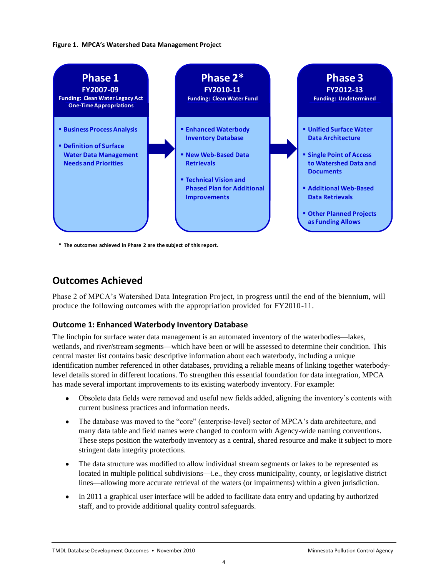#### **Figure 1. MPCA's Watershed Data Management Project**



**\* The outcomes achieved in Phase 2 are the subject of this report.**

# **Outcomes Achieved**

Phase 2 of MPCA's Watershed Data Integration Project, in progress until the end of the biennium, will produce the following outcomes with the appropriation provided for FY2010-11.

### **Outcome 1: Enhanced Waterbody Inventory Database**

The linchpin for surface water data management is an automated inventory of the waterbodies—lakes, wetlands, and river/stream segments—which have been or will be assessed to determine their condition. This central master list contains basic descriptive information about each waterbody, including a unique identification number referenced in other databases, providing a reliable means of linking together waterbodylevel details stored in different locations. To strengthen this essential foundation for data integration, MPCA has made several important improvements to its existing waterbody inventory. For example:

- Obsolete data fields were removed and useful new fields added, aligning the inventory's contents with current business practices and information needs.
- The database was moved to the "core" (enterprise-level) sector of MPCA's data architecture, and  $\bullet$ many data table and field names were changed to conform with Agency-wide naming conventions. These steps position the waterbody inventory as a central, shared resource and make it subject to more stringent data integrity protections.
- The data structure was modified to allow individual stream segments or lakes to be represented as located in multiple political subdivisions—i.e., they cross municipality, county, or legislative district lines—allowing more accurate retrieval of the waters (or impairments) within a given jurisdiction.
- In 2011 a graphical user interface will be added to facilitate data entry and updating by authorized  $\bullet$ staff, and to provide additional quality control safeguards.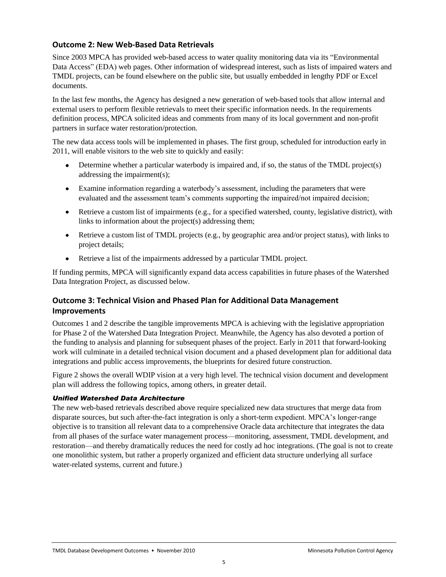### **Outcome 2: New Web-Based Data Retrievals**

Since 2003 MPCA has provided web-based access to water quality monitoring data via its "Environmental Data Access" (EDA) web pages. Other information of widespread interest, such as lists of impaired waters and TMDL projects, can be found elsewhere on the public site, but usually embedded in lengthy PDF or Excel documents.

In the last few months, the Agency has designed a new generation of web-based tools that allow internal and external users to perform flexible retrievals to meet their specific information needs. In the requirements definition process, MPCA solicited ideas and comments from many of its local government and non-profit partners in surface water restoration/protection.

The new data access tools will be implemented in phases. The first group, scheduled for introduction early in 2011, will enable visitors to the web site to quickly and easily:

- Determine whether a particular waterbody is impaired and, if so, the status of the TMDL project(s) addressing the impairment(s);
- Examine information regarding a waterbody's assessment, including the parameters that were evaluated and the assessment team's comments supporting the impaired/not impaired decision;
- $\bullet$  Retrieve a custom list of impairments (e.g., for a specified watershed, county, legislative district), with links to information about the project(s) addressing them;
- Retrieve a custom list of TMDL projects (e.g., by geographic area and/or project status), with links to project details;
- $\bullet$ Retrieve a list of the impairments addressed by a particular TMDL project.

If funding permits, MPCA will significantly expand data access capabilities in future phases of the Watershed Data Integration Project, as discussed below.

## **Outcome 3: Technical Vision and Phased Plan for Additional Data Management Improvements**

Outcomes 1 and 2 describe the tangible improvements MPCA is achieving with the legislative appropriation for Phase 2 of the Watershed Data Integration Project. Meanwhile, the Agency has also devoted a portion of the funding to analysis and planning for subsequent phases of the project. Early in 2011 that forward-looking work will culminate in a detailed technical vision document and a phased development plan for additional data integrations and public access improvements, the blueprints for desired future construction.

Figure 2 shows the overall WDIP vision at a very high level. The technical vision document and development plan will address the following topics, among others, in greater detail.

#### *Unified Watershed Data Architecture*

The new web-based retrievals described above require specialized new data structures that merge data from disparate sources, but such after-the-fact integration is only a short-term expedient. MPCA's longer-range objective is to transition all relevant data to a comprehensive Oracle data architecture that integrates the data from all phases of the surface water management process—monitoring, assessment, TMDL development, and restoration—and thereby dramatically reduces the need for costly ad hoc integrations. (The goal is not to create one monolithic system, but rather a properly organized and efficient data structure underlying all surface water-related systems, current and future.)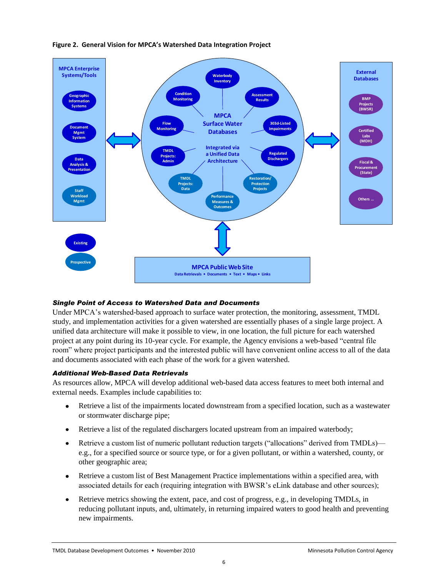

## **Figure 2. General Vision for MPCA's Watershed Data Integration Project**

# *Single Point of Access to Watershed Data and Documents*

Under MPCA's watershed-based approach to surface water protection, the monitoring, assessment, TMDL study, and implementation activities for a given watershed are essentially phases of a single large project. A unified data architecture will make it possible to view, in one location, the full picture for each watershed project at any point during its 10-year cycle. For example, the Agency envisions a web-based "central file room" where project participants and the interested public will have convenient online access to all of the data and documents associated with each phase of the work for a given watershed.

# *Additional Web-Based Data Retrievals*

As resources allow, MPCA will develop additional web-based data access features to meet both internal and external needs. Examples include capabilities to:

- Retrieve a list of the impairments located downstream from a specified location, such as a wastewater  $\bullet$ or stormwater discharge pipe;
- Retrieve a list of the regulated dischargers located upstream from an impaired waterbody;  $\bullet$
- Retrieve a custom list of numeric pollutant reduction targets ("allocations" derived from TMDLs)—  $\bullet$ e.g., for a specified source or source type, or for a given pollutant, or within a watershed, county, or other geographic area;
- Retrieve a custom list of Best Management Practice implementations within a specified area, with  $\bullet$ associated details for each (requiring integration with BWSR's eLink database and other sources);
- Retrieve metrics showing the extent, pace, and cost of progress, e.g., in developing TMDLs, in  $\bullet$ reducing pollutant inputs, and, ultimately, in returning impaired waters to good health and preventing new impairments.